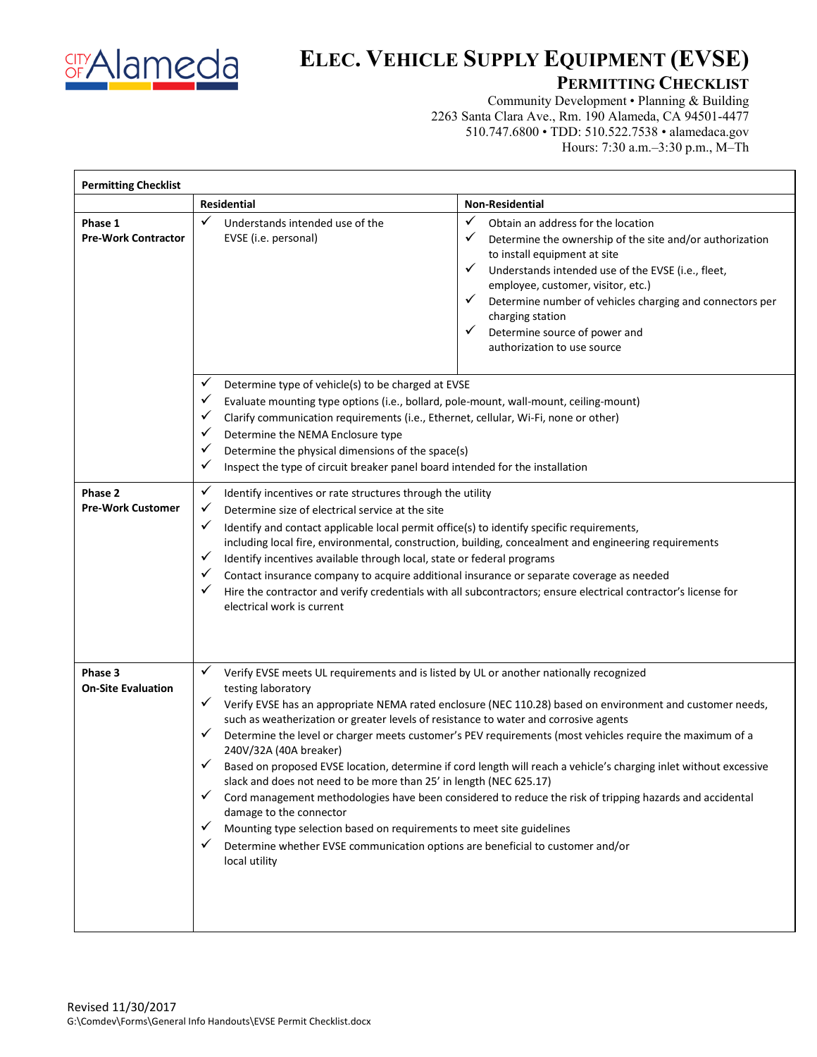

## **ELEC. VEHICLE SUPPLY EQUIPMENT (EVSE)**

## **PERMITTING CHECKLIST**

Community Development • Planning & Building 2263 Santa Clara Ave., Rm. 190 Alameda, CA 94501-4477 510.747.6800 • TDD: 510.522.7538 • alamedaca.gov Hours: 7:30 a.m.–3:30 p.m., M–Th

| <b>Permitting Checklist</b>           |                                                                                                                                                                                                                                                                                                                                                                                                                                                                                                                                                                                                                                                                                                                                                                                                                                                                                                                                                                                                          |                                                                                                                                                                                                                                                                                                                                                                                                                |
|---------------------------------------|----------------------------------------------------------------------------------------------------------------------------------------------------------------------------------------------------------------------------------------------------------------------------------------------------------------------------------------------------------------------------------------------------------------------------------------------------------------------------------------------------------------------------------------------------------------------------------------------------------------------------------------------------------------------------------------------------------------------------------------------------------------------------------------------------------------------------------------------------------------------------------------------------------------------------------------------------------------------------------------------------------|----------------------------------------------------------------------------------------------------------------------------------------------------------------------------------------------------------------------------------------------------------------------------------------------------------------------------------------------------------------------------------------------------------------|
|                                       | Residential                                                                                                                                                                                                                                                                                                                                                                                                                                                                                                                                                                                                                                                                                                                                                                                                                                                                                                                                                                                              | <b>Non-Residential</b>                                                                                                                                                                                                                                                                                                                                                                                         |
| Phase 1<br><b>Pre-Work Contractor</b> | ✓<br>Understands intended use of the<br>EVSE (i.e. personal)                                                                                                                                                                                                                                                                                                                                                                                                                                                                                                                                                                                                                                                                                                                                                                                                                                                                                                                                             | ✓<br>Obtain an address for the location<br>✓<br>Determine the ownership of the site and/or authorization<br>to install equipment at site<br>✓<br>Understands intended use of the EVSE (i.e., fleet,<br>employee, customer, visitor, etc.)<br>✓<br>Determine number of vehicles charging and connectors per<br>charging station<br>$\checkmark$<br>Determine source of power and<br>authorization to use source |
|                                       | ✓<br>Determine type of vehicle(s) to be charged at EVSE<br>✓<br>Evaluate mounting type options (i.e., bollard, pole-mount, wall-mount, ceiling-mount)<br>✓<br>Clarify communication requirements (i.e., Ethernet, cellular, Wi-Fi, none or other)<br>✓<br>Determine the NEMA Enclosure type<br>✓<br>Determine the physical dimensions of the space(s)<br>✓<br>Inspect the type of circuit breaker panel board intended for the installation                                                                                                                                                                                                                                                                                                                                                                                                                                                                                                                                                              |                                                                                                                                                                                                                                                                                                                                                                                                                |
| Phase 2<br><b>Pre-Work Customer</b>   | $\checkmark$<br>Identify incentives or rate structures through the utility<br>✓<br>Determine size of electrical service at the site<br>✓<br>Identify and contact applicable local permit office(s) to identify specific requirements,<br>including local fire, environmental, construction, building, concealment and engineering requirements<br>✓<br>Identify incentives available through local, state or federal programs<br>✓<br>Contact insurance company to acquire additional insurance or separate coverage as needed<br>✓<br>Hire the contractor and verify credentials with all subcontractors; ensure electrical contractor's license for<br>electrical work is current                                                                                                                                                                                                                                                                                                                      |                                                                                                                                                                                                                                                                                                                                                                                                                |
| Phase 3<br><b>On-Site Evaluation</b>  | ✓<br>Verify EVSE meets UL requirements and is listed by UL or another nationally recognized<br>testing laboratory<br>✓<br>Verify EVSE has an appropriate NEMA rated enclosure (NEC 110.28) based on environment and customer needs,<br>such as weatherization or greater levels of resistance to water and corrosive agents<br>✓<br>Determine the level or charger meets customer's PEV requirements (most vehicles require the maximum of a<br>240V/32A (40A breaker)<br>✓<br>Based on proposed EVSE location, determine if cord length will reach a vehicle's charging inlet without excessive<br>slack and does not need to be more than 25' in length (NEC 625.17)<br>Cord management methodologies have been considered to reduce the risk of tripping hazards and accidental<br>✓<br>damage to the connector<br>Mounting type selection based on requirements to meet site guidelines<br>✓<br>✓<br>Determine whether EVSE communication options are beneficial to customer and/or<br>local utility |                                                                                                                                                                                                                                                                                                                                                                                                                |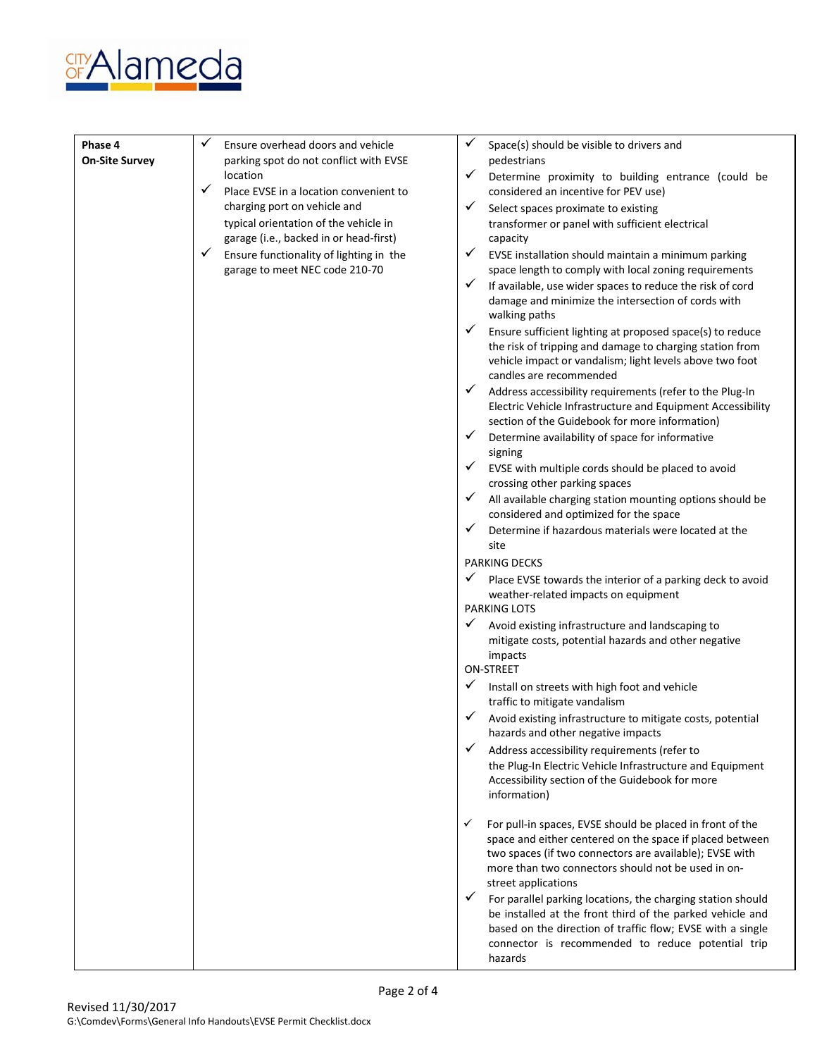

| Phase 4<br><b>On-Site Survey</b> | ✓<br>Ensure overhead doors and vehicle<br>parking spot do not conflict with EVSE | Space(s) should be visible to drivers and<br>pedestrians                                                      |
|----------------------------------|----------------------------------------------------------------------------------|---------------------------------------------------------------------------------------------------------------|
|                                  | <b>location</b>                                                                  | ✓<br>Determine proximity to building entrance (could be                                                       |
|                                  | ✓<br>Place EVSE in a location convenient to                                      | considered an incentive for PEV use)                                                                          |
|                                  | charging port on vehicle and                                                     | $\checkmark$<br>Select spaces proximate to existing                                                           |
|                                  | typical orientation of the vehicle in                                            | transformer or panel with sufficient electrical                                                               |
|                                  | garage (i.e., backed in or head-first)                                           | capacity                                                                                                      |
|                                  | ✓<br>Ensure functionality of lighting in the                                     | ✓<br>EVSE installation should maintain a minimum parking                                                      |
|                                  | garage to meet NEC code 210-70                                                   | space length to comply with local zoning requirements                                                         |
|                                  |                                                                                  | $\checkmark$<br>If available, use wider spaces to reduce the risk of cord                                     |
|                                  |                                                                                  | damage and minimize the intersection of cords with<br>walking paths                                           |
|                                  |                                                                                  | ✓<br>Ensure sufficient lighting at proposed space(s) to reduce                                                |
|                                  |                                                                                  | the risk of tripping and damage to charging station from                                                      |
|                                  |                                                                                  | vehicle impact or vandalism; light levels above two foot                                                      |
|                                  |                                                                                  | candles are recommended                                                                                       |
|                                  |                                                                                  | $\checkmark$<br>Address accessibility requirements (refer to the Plug-In                                      |
|                                  |                                                                                  | Electric Vehicle Infrastructure and Equipment Accessibility<br>section of the Guidebook for more information) |
|                                  |                                                                                  | $\checkmark$<br>Determine availability of space for informative                                               |
|                                  |                                                                                  | signing                                                                                                       |
|                                  |                                                                                  | $\checkmark$<br>EVSE with multiple cords should be placed to avoid                                            |
|                                  |                                                                                  | crossing other parking spaces                                                                                 |
|                                  |                                                                                  | $\checkmark$<br>All available charging station mounting options should be                                     |
|                                  |                                                                                  | considered and optimized for the space<br>✓                                                                   |
|                                  |                                                                                  | Determine if hazardous materials were located at the<br>site                                                  |
|                                  |                                                                                  | <b>PARKING DECKS</b>                                                                                          |
|                                  |                                                                                  | Place EVSE towards the interior of a parking deck to avoid                                                    |
|                                  |                                                                                  | weather-related impacts on equipment                                                                          |
|                                  |                                                                                  | <b>PARKING LOTS</b>                                                                                           |
|                                  |                                                                                  | $\checkmark$<br>Avoid existing infrastructure and landscaping to                                              |
|                                  |                                                                                  | mitigate costs, potential hazards and other negative                                                          |
|                                  |                                                                                  | impacts<br><b>ON-STREET</b>                                                                                   |
|                                  |                                                                                  | ✓<br>Install on streets with high foot and vehicle                                                            |
|                                  |                                                                                  | traffic to mitigate vandalism                                                                                 |
|                                  |                                                                                  | Avoid existing infrastructure to mitigate costs, potential                                                    |
|                                  |                                                                                  | hazards and other negative impacts                                                                            |
|                                  |                                                                                  | $\checkmark$<br>Address accessibility requirements (refer to                                                  |
|                                  |                                                                                  | the Plug-In Electric Vehicle Infrastructure and Equipment                                                     |
|                                  |                                                                                  | Accessibility section of the Guidebook for more<br>information)                                               |
|                                  |                                                                                  |                                                                                                               |
|                                  |                                                                                  | ✓<br>For pull-in spaces, EVSE should be placed in front of the                                                |
|                                  |                                                                                  | space and either centered on the space if placed between                                                      |
|                                  |                                                                                  | two spaces (if two connectors are available); EVSE with                                                       |
|                                  |                                                                                  | more than two connectors should not be used in on-<br>street applications                                     |
|                                  |                                                                                  | $\checkmark$<br>For parallel parking locations, the charging station should                                   |
|                                  |                                                                                  | be installed at the front third of the parked vehicle and                                                     |
|                                  |                                                                                  | based on the direction of traffic flow; EVSE with a single                                                    |
|                                  |                                                                                  | connector is recommended to reduce potential trip                                                             |
|                                  |                                                                                  | hazards                                                                                                       |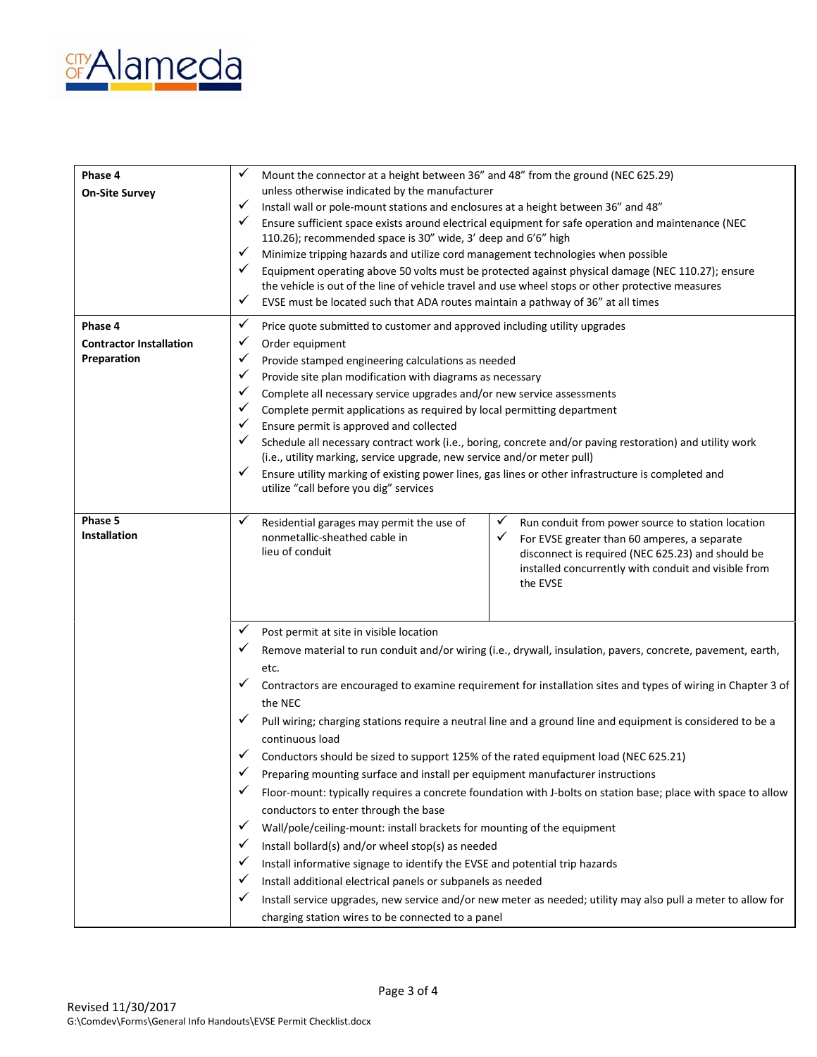

| Phase 4<br><b>On-Site Survey</b>                         | ✓<br>Mount the connector at a height between 36" and 48" from the ground (NEC 625.29)<br>unless otherwise indicated by the manufacturer<br>✓<br>Install wall or pole-mount stations and enclosures at a height between 36" and 48"<br>✓<br>Ensure sufficient space exists around electrical equipment for safe operation and maintenance (NEC<br>110.26); recommended space is 30" wide, 3' deep and 6'6" high<br>✓<br>Minimize tripping hazards and utilize cord management technologies when possible<br>✓<br>Equipment operating above 50 volts must be protected against physical damage (NEC 110.27); ensure<br>the vehicle is out of the line of vehicle travel and use wheel stops or other protective measures<br>✓<br>EVSE must be located such that ADA routes maintain a pathway of 36" at all times                                                                                                                                                                                                                                                                                                                                                                                                                                                                    |  |
|----------------------------------------------------------|------------------------------------------------------------------------------------------------------------------------------------------------------------------------------------------------------------------------------------------------------------------------------------------------------------------------------------------------------------------------------------------------------------------------------------------------------------------------------------------------------------------------------------------------------------------------------------------------------------------------------------------------------------------------------------------------------------------------------------------------------------------------------------------------------------------------------------------------------------------------------------------------------------------------------------------------------------------------------------------------------------------------------------------------------------------------------------------------------------------------------------------------------------------------------------------------------------------------------------------------------------------------------------|--|
| Phase 4<br><b>Contractor Installation</b><br>Preparation | Price quote submitted to customer and approved including utility upgrades<br>Order equipment<br>Provide stamped engineering calculations as needed<br>Provide site plan modification with diagrams as necessary<br>Complete all necessary service upgrades and/or new service assessments<br>Complete permit applications as required by local permitting department<br>Ensure permit is approved and collected<br>Schedule all necessary contract work (i.e., boring, concrete and/or paving restoration) and utility work<br>(i.e., utility marking, service upgrade, new service and/or meter pull)<br>Ensure utility marking of existing power lines, gas lines or other infrastructure is completed and<br>utilize "call before you dig" services                                                                                                                                                                                                                                                                                                                                                                                                                                                                                                                             |  |
| Phase 5<br>Installation                                  | ✓<br>✓<br>Residential garages may permit the use of<br>Run conduit from power source to station location<br>nonmetallic-sheathed cable in<br>✓<br>For EVSE greater than 60 amperes, a separate<br>lieu of conduit<br>disconnect is required (NEC 625.23) and should be<br>installed concurrently with conduit and visible from<br>the EVSE                                                                                                                                                                                                                                                                                                                                                                                                                                                                                                                                                                                                                                                                                                                                                                                                                                                                                                                                         |  |
|                                                          | ✓<br>Post permit at site in visible location<br>✓<br>Remove material to run conduit and/or wiring (i.e., drywall, insulation, pavers, concrete, pavement, earth,<br>etc.<br>✓<br>Contractors are encouraged to examine requirement for installation sites and types of wiring in Chapter 3 of<br>the NEC<br>✓<br>Pull wiring; charging stations require a neutral line and a ground line and equipment is considered to be a<br>continuous load<br>✓<br>Conductors should be sized to support 125% of the rated equipment load (NEC 625.21)<br>✓<br>Preparing mounting surface and install per equipment manufacturer instructions<br>Floor-mount: typically requires a concrete foundation with J-bolts on station base; place with space to allow<br>conductors to enter through the base<br>$\checkmark$<br>Wall/pole/ceiling-mount: install brackets for mounting of the equipment<br>✓<br>Install bollard(s) and/or wheel stop(s) as needed<br>Install informative signage to identify the EVSE and potential trip hazards<br>✔<br>Install additional electrical panels or subpanels as needed<br>✔<br>✓<br>Install service upgrades, new service and/or new meter as needed; utility may also pull a meter to allow for<br>charging station wires to be connected to a panel |  |